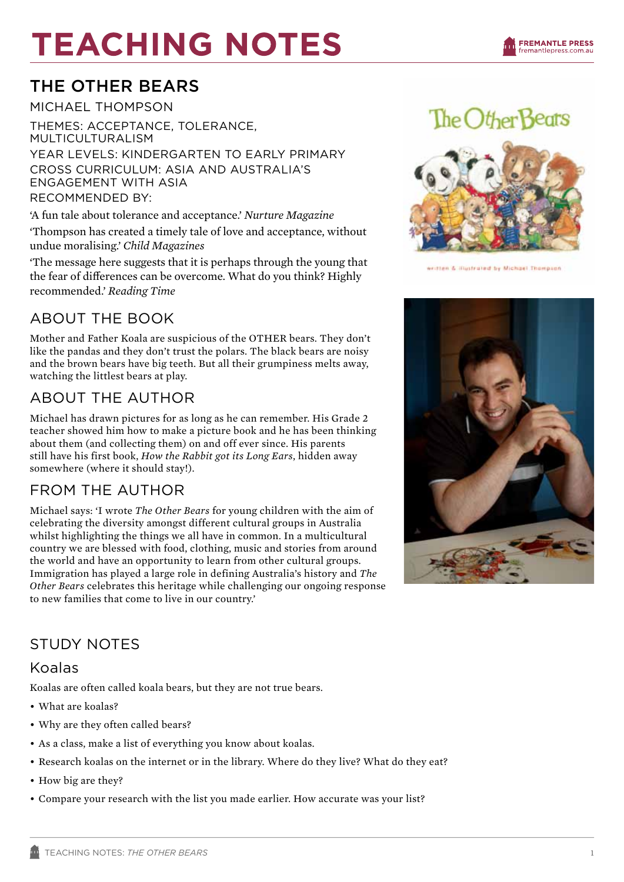# **TEACHING NOTES**

# The other bears

michael thompson

Themes: acceptance, tolerance, MULTICULTURALISM Year Levels: kindergarten to early primary Cross Curriculum: asia and australia's engagement with asia Recommended By:

'A fun tale about tolerance and acceptance.' *Nurture Magazine*

'Thompson has created a timely tale of love and acceptance, without undue moralising.' *Child Magazines*

'The message here suggests that it is perhaps through the young that the fear of differences can be overcome. What do you think? Highly recommended.' *Reading Time*

# ABOUT THE BOOK

Mother and Father Koala are suspicious of the OTHER bears. They don't like the pandas and they don't trust the polars. The black bears are noisy and the brown bears have big teeth. But all their grumpiness melts away, watching the littlest bears at play.

## ABOUT THE AUTHOR

Michael has drawn pictures for as long as he can remember. His Grade 2 teacher showed him how to make a picture book and he has been thinking about them (and collecting them) on and off ever since. His parents still have his first book, *How the Rabbit got its Long Ears*, hidden away somewhere (where it should stay!).

### FROM THE AUTHOR

Michael says: 'I wrote *The Other Bears* for young children with the aim of celebrating the diversity amongst different cultural groups in Australia whilst highlighting the things we all have in common. In a multicultural country we are blessed with food, clothing, music and stories from around the world and have an opportunity to learn from other cultural groups. Immigration has played a large role in defining Australia's history and *The Other Bears* celebrates this heritage while challenging our ongoing response to new families that come to live in our country.'

# The Other Beats



written & illustrated by Michael Thompson



### STUDY NOTES

#### Koalas

Koalas are often called koala bears, but they are not true bears.

- What are koalas?
- Why are they often called bears?
- As a class, make a list of everything you know about koalas.
- • Research koalas on the internet or in the library. Where do they live? What do they eat?
- How big are they?
- • Compare your research with the list you made earlier. How accurate was your list?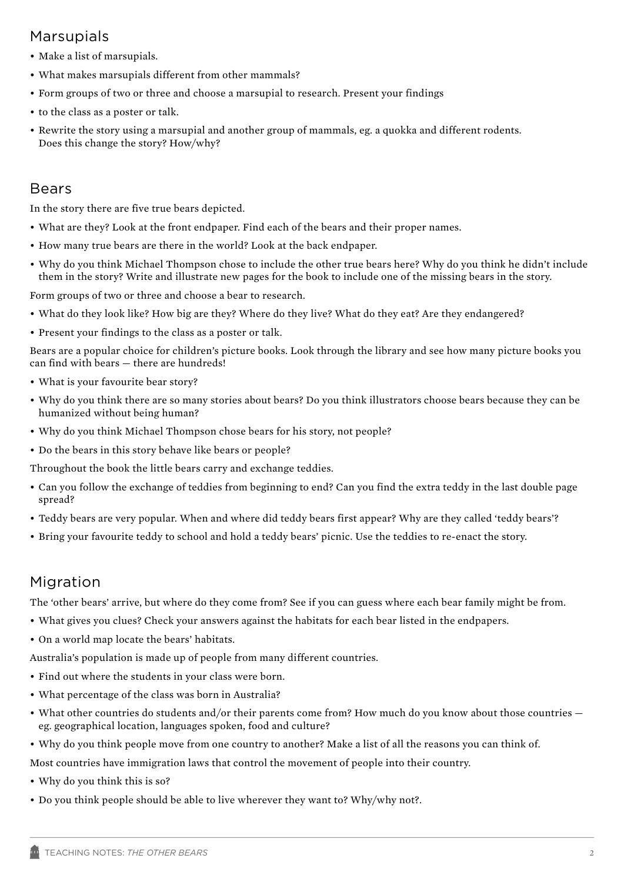#### Marsupials

- Make a list of marsupials.
- • What makes marsupials different from other mammals?
- • Form groups of two or three and choose a marsupial to research. Present your findings
- to the class as a poster or talk.
- • Rewrite the story using a marsupial and another group of mammals, eg. a quokka and different rodents. Does this change the story? How/why?

#### Bears

In the story there are five true bears depicted.

- • What are they? Look at the front endpaper. Find each of the bears and their proper names.
- • How many true bears are there in the world? Look at the back endpaper.
- • Why do you think Michael Thompson chose to include the other true bears here? Why do you think he didn't include them in the story? Write and illustrate new pages for the book to include one of the missing bears in the story.

Form groups of two or three and choose a bear to research.

- What do they look like? How big are they? Where do they live? What do they eat? Are they endangered?
- Present your findings to the class as a poster or talk.

Bears are a popular choice for children's picture books. Look through the library and see how many picture books you can find with bears — there are hundreds!

- What is your favourite bear story?
- • Why do you think there are so many stories about bears? Do you think illustrators choose bears because they can be humanized without being human?
- Why do you think Michael Thompson chose bears for his story, not people?
- Do the bears in this story behave like bears or people?

Throughout the book the little bears carry and exchange teddies.

- • Can you follow the exchange of teddies from beginning to end? Can you find the extra teddy in the last double page spread?
- Teddy bears are very popular. When and where did teddy bears first appear? Why are they called 'teddy bears'?
- • Bring your favourite teddy to school and hold a teddy bears' picnic. Use the teddies to re-enact the story.

#### Migration

The 'other bears' arrive, but where do they come from? See if you can guess where each bear family might be from.

- • What gives you clues? Check your answers against the habitats for each bear listed in the endpapers.
- • On a world map locate the bears' habitats.

Australia's population is made up of people from many different countries.

- Find out where the students in your class were born.
- What percentage of the class was born in Australia?
- What other countries do students and/or their parents come from? How much do you know about those countries  $$ eg. geographical location, languages spoken, food and culture?
- • Why do you think people move from one country to another? Make a list of all the reasons you can think of.

Most countries have immigration laws that control the movement of people into their country.

- Why do you think this is so?
- • Do you think people should be able to live wherever they want to? Why/why not?.